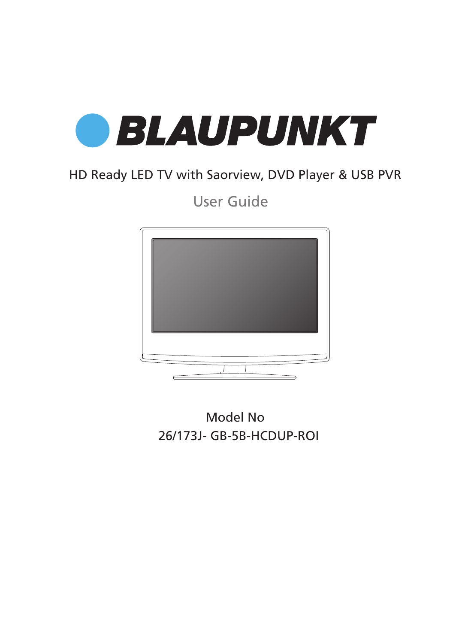

## HD Ready LED TV with Saorview, DVD Player & USB PVR

User Guide



26/173J- GB-5B-HCDUP-ROI Model No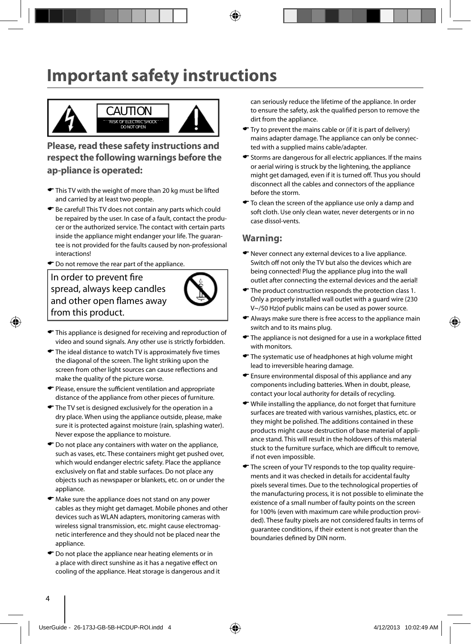# **Important safety instructions**



**Please, read these safety instructions and respect the following warnings before the ap-pliance is operated:**

- This TV with the weight of more than 20 kg must be lifted and carried by at least two people.
- Be careful! This TV does not contain any parts which could be repaired by the user. In case of a fault, contact the producer or the authorized service. The contact with certain parts inside the appliance might endanger your life. The guarantee is not provided for the faults caused by non-professional interactions!
- $\bullet$  Do not remove the rear part of the appliance.

In order to prevent fire spread, always keep candles and other open flames away from this product.



- $\blacktriangleright$  This appliance is designed for receiving and reproduction of video and sound signals. Any other use is strictly forbidden.
- $\blacktriangleright$  The ideal distance to watch TV is approximately five times the diagonal of the screen. The light striking upon the screen from other light sources can cause reflections and make the quality of the picture worse.
- $\bullet$  Please, ensure the sufficient ventilation and appropriate distance of the appliance from other pieces of furniture.
- $\blacktriangleright$  The TV set is designed exclusively for the operation in a dry place. When using the appliance outside, please, make sure it is protected against moisture (rain, splashing water). Never expose the appliance to moisture.
- $\bullet$  Do not place any containers with water on the appliance, such as vases, etc. These containers might get pushed over, which would endanger electric safety. Place the appliance exclusively on flat and stable surfaces. Do not place any objects such as newspaper or blankets, etc. on or under the appliance.
- Make sure the appliance does not stand on any power cables as they might get damaget. Mobile phones and other devices such as WLAN adapters, monitoring cameras with wireless signal transmission, etc. might cause electromagnetic interference and they should not be placed near the appliance.
- $\bullet$  Do not place the appliance near heating elements or in a place with direct sunshine as it has a negative effect on cooling of the appliance. Heat storage is dangerous and it

can seriously reduce the lifetime of the appliance. In order to ensure the safety, ask the qualified person to remove the dirt from the appliance.

- Try to prevent the mains cable or (if it is part of delivery) mains adapter damage. The appliance can only be connected with a supplied mains cable/adapter.
- Storms are dangerous for all electric appliances. If the mains or aerial wiring is struck by the lightening, the appliance might get damaged, even if it is turned off. Thus you should disconnect all the cables and connectors of the appliance before the storm.
- $\bullet$  To clean the screen of the appliance use only a damp and soft cloth. Use only clean water, never detergents or in no case dissol-vents.

#### **Warning:**

- Never connect any external devices to a live appliance. Switch off not only the TV but also the devices which are being connected! Plug the appliance plug into the wall outlet after connecting the external devices and the aerial!
- $\blacktriangleright$  The product construction responds the protection class 1. Only a properly installed wall outlet with a guard wire (230 V~/50 Hz)of public mains can be used as power source.
- Always make sure there is free access to the appliance main switch and to its mains plug.
- $\blacktriangleright$  The appliance is not designed for a use in a workplace fitted with monitors.
- The systematic use of headphones at high volume might lead to irreversible hearing damage.
- Ensure environmental disposal of this appliance and any components including batteries. When in doubt, please, contact your local authority for details of recycling.
- While installing the appliance, do not forget that furniture surfaces are treated with various varnishes, plastics, etc. or they might be polished. The additions contained in these products might cause destruction of base material of appliance stand. This will result in the holdovers of this material stuck to the furniture surface, which are difficult to remove. if not even impossible.
- $\bullet$  The screen of your TV responds to the top quality requirements and it was checked in details for accidental faulty pixels several times. Due to the technological properties of the manufacturing process, it is not possible to eliminate the existence of a small number of faulty points on the screen for 100% (even with maximum care while production provided). These faulty pixels are not considered faults in terms of guarantee conditions, if their extent is not greater than the boundaries defined by DIN norm.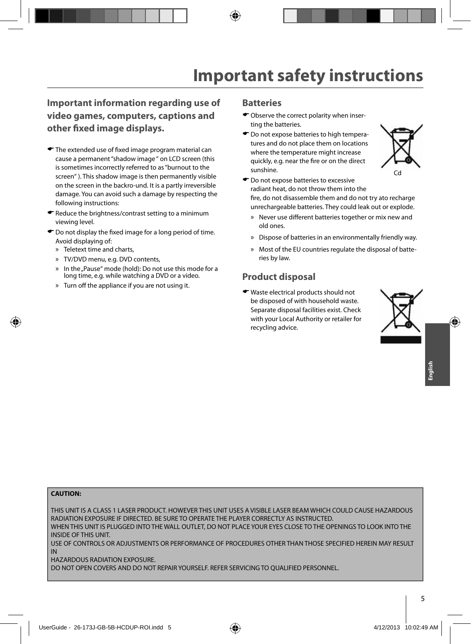#### **Important information regarding use of video games, computers, captions and other fi xed image displays.**

- $\blacktriangleright$  The extended use of fixed image program material can cause a permanent "shadow image " on LCD screen (this is sometimes incorrectly referred to as "burnout to the screen" ). This shadow image is then permanently visible on the screen in the backro-und. It is a partly irreversible damage. You can avoid such a damage by respecting the following instructions:
- Reduce the brightness/contrast setting to a minimum viewing level.
- $\bullet$  Do not display the fixed image for a long period of time. Avoid displaying of:
	- » Teletext time and charts,
	- » TV/DVD menu, e.g. DVD contents,
	- » In the "Pause" mode (hold): Do not use this mode for a long time, e.g. while watching a DVD or a video.
	- » Turn off the appliance if you are not using it.

#### **Batteries**

- Observe the correct polarity when inserting the batteries.
- $\bullet$  Do not expose batteries to high temperatures and do not place them on locations where the temperature might increase quickly, e.g. near the fire or on the direct sunshine.



- $\bullet$  Do not expose batteries to excessive radiant heat, do not throw them into the fire, do not disassemble them and do not try ato recharge unrechargeable batteries. They could leak out or explode.
	- » Never use different batteries together or mix new and old ones.
	- » Dispose of batteries in an environmentally friendly way.
	- » Most of the EU countries regulate the disposal of batteries by law.

#### **Product disposal**

Waste electrical products should not be disposed of with household waste. Separate disposal facilities exist. Check with your Local Authority or retailer for recycling advice.



#### **CAUTION:**

THIS UNIT IS A CLASS 1 LASER PRODUCT. HOWEVER THIS UNIT USES A VISIBLE LASER BEAM WHICH COULD CAUSE HAZARDOUS RADIATION EXPOSURE IF DIRECTED. BE SURE TO OPERATE THE PLAYER CORRECTLY AS INSTRUCTED. WHEN THIS UNIT IS PLUGGED INTO THE WALL OUTLET, DO NOT PLACE YOUR EYES CLOSE TO THE OPENINGS TO LOOK INTO THE

INSIDE OF THIS UNIT.

USE OF CONTROLS OR ADJUSTMENTS OR PERFORMANCE OF PROCEDURES OTHER THAN THOSE SPECIFIED HEREIN MAY RESULT IN

HAZARDOUS RADIATION EXPOSURE.

DO NOT OPEN COVERS AND DO NOT REPAIR YOURSELF. REFER SERVICING TO OUALIFIED PERSONNEL.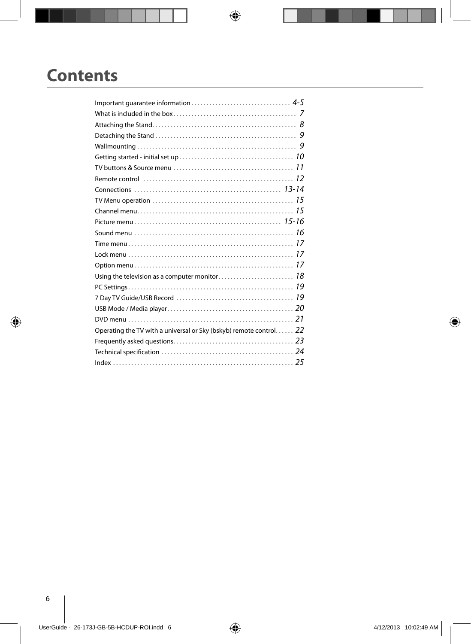# **Contents**

| Operating the TV with a universal or Sky (bskyb) remote control 22 |  |
|--------------------------------------------------------------------|--|
|                                                                    |  |
|                                                                    |  |
|                                                                    |  |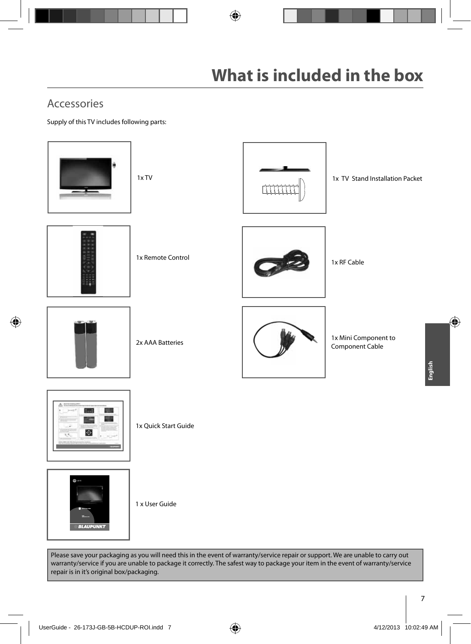### Accessories

Supply of this TV includes following parts:



Please save your packaging as you will need this in the event of warranty/service repair or support. We are unable to carry out warranty/service if you are unable to package it correctly. The safest way to package your item in the event of warranty/service repair is in it's original box/packaging.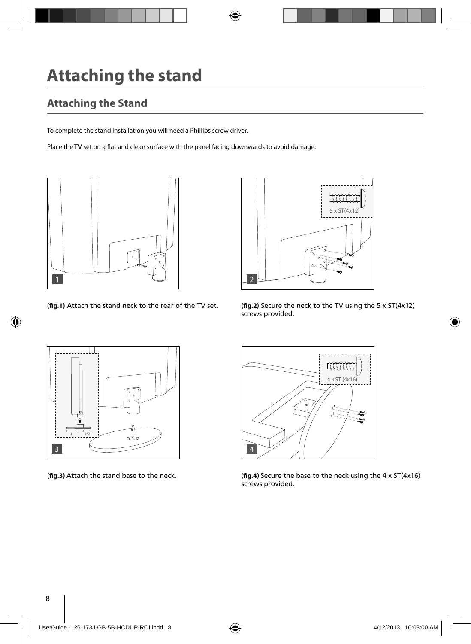# **Attaching the stand**

## **Attaching the Stand**

To complete the stand installation you will need a Phillips screw driver.

Place the TV set on a flat and clean surface with the panel facing downwards to avoid damage.





**(fig.1)** Attach the stand neck to the rear of the TV set. **(fig.2)** Secure the neck to the TV using the 5 x ST(4x12) screws provided.





(**fig.3**) Attach the stand base to the neck. (**fig.4**) Secure the base to the neck using the 4 x ST(4x16) screws provided.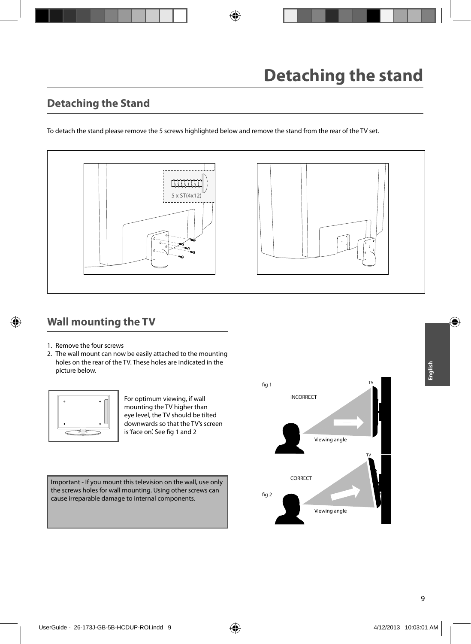### **Detaching the Stand**

To detach the stand please remove the 5 screws highlighted below and remove the stand from the rear of the TV set.



### **Wall mounting the TV**

- 1. Remove the four screws
- 2. The wall mount can now be easily attached to the mounting holes on the rear of the TV. These holes are indicated in the picture below.



For optimum viewing, if wall mounting the TV higher than eye level, the TV should be tilted downwards so that the TV's screen is 'face on'. See fig 1 and 2

Important - If you mount this television on the wall, use only the screws holes for wall mounting. Using other screws can cause irreparable damage to internal components.



**English**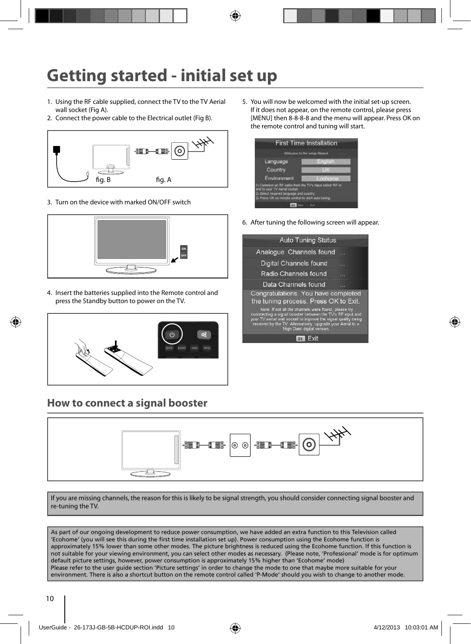# **Getting started - initial set up**

- 1. Using the RF cable supplied, connect the TV to the TV Aerial wall socket (Fig A).
- 2. Connect the power cable to the Electrical outlet (Fig B).



3. Turn on the device with marked ON/OFF switch



4. Insert the batteries supplied into the Remote control and press the Standby button to power on the TV.



### **How to connect a signal booster**

5. You will now be welcomed with the initial set-up screen. If it does not appear, on the remote control, please press [MENU] then 8-8-8-8 and the menu will appear. Press OK on the remote control and tuning will start.



6. After tuning the following screen will appear.

| <b>Auto Tuning Status</b>                                                                                                                                                                                                                                                           |  |
|-------------------------------------------------------------------------------------------------------------------------------------------------------------------------------------------------------------------------------------------------------------------------------------|--|
| Analogue Channels found                                                                                                                                                                                                                                                             |  |
| Digital Channels found                                                                                                                                                                                                                                                              |  |
| Radio Channels found                                                                                                                                                                                                                                                                |  |
| Data Channels found                                                                                                                                                                                                                                                                 |  |
| Congratulations. You have completed<br>the tuning process. Press OK to Exit.                                                                                                                                                                                                        |  |
| Note: If not all the channels were found, please try<br>connnecting a signal booster between the TV's RF input and<br>your TV aerial wall socket to improve the signal quality being<br>received by the TV. Alternatively, upgrade your Aerial to a<br>'High Gain' digital version. |  |
|                                                                                                                                                                                                                                                                                     |  |



If you are missing channels, the reason for this is likely to be signal strength, you should consider connecting signal booster and re-tuning the TV.

As part of our ongoing development to reduce power consumption, we have added an extra function to this Television called 'Ecohome' (you will see this during the first time installation set up). Power consumption using the Ecohome function is approximately 15% lower than some other modes. The picture brightness is reduced using the Ecohome function. If this function is not suitable for your viewing environment, you can select other modes as necessary. (Please note, 'Professional' mode is for optimum default picture settings, however, power consumption is approximately 15% higher than 'Ecohome' mode) Please refer to the user guide section 'Picture settings' in order to change the mode to one that maybe more suitable for your environment. There is also a shortcut button on the remote control called 'P-Mode' should you wish to change to another mode.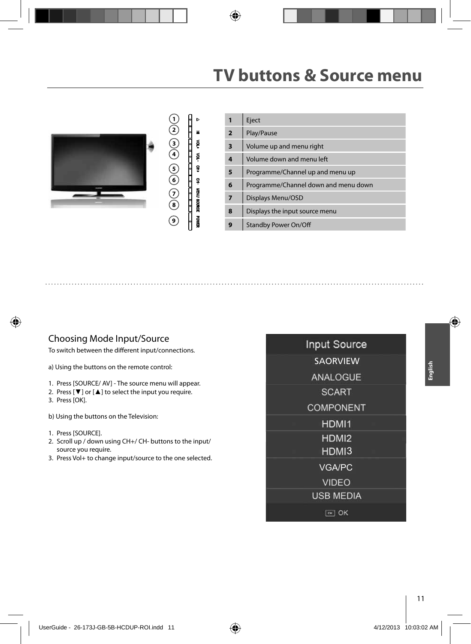# **TV buttons & Source menu**



#### Choosing Mode Input/Source

To switch between the different input/connections.

a) Using the buttons on the remote control:

- 1. Press [SOURCE/ AV] The source menu will appear.
- 2. Press  $[\nabla]$  or  $[\nabla]$  to select the input you require. 3. Press [OK].
- b) Using the buttons on the Television:
- 1. Press [SOURCE].
- 2. Scroll up / down using CH+/ CH- buttons to the input/ source you require.
- 3. Press Vol+ to change input/source to the one selected.

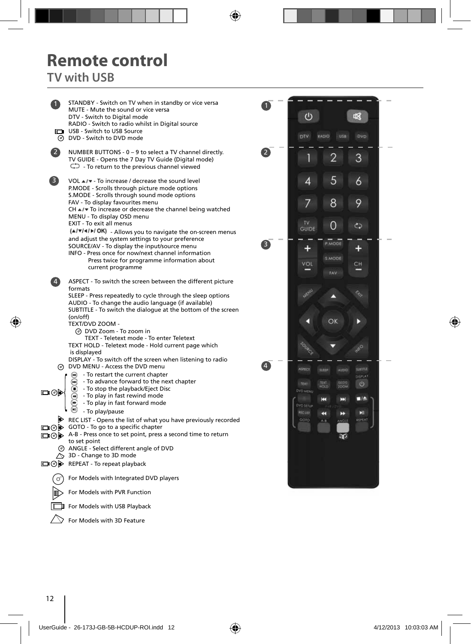# **Remote control**

**TV with USB**

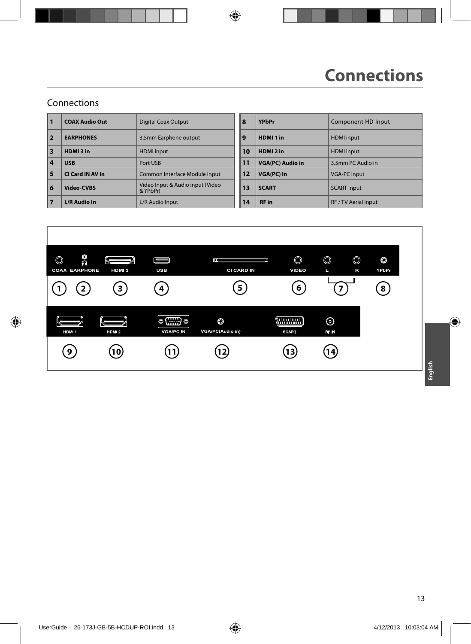### Connections

| $\mathbf{1}$            | <b>COAX Audio Out</b> | <b>Digital Coax Output</b>                   | 8  |    | <b>YPbPr</b>            | Component HD Input   |
|-------------------------|-----------------------|----------------------------------------------|----|----|-------------------------|----------------------|
| $\overline{\mathbf{2}}$ | <b>EARPHONES</b>      | 3.5mm Earphone output                        | 9  |    | HDMI <sub>1</sub> in    | <b>HDMI</b> input    |
| $\overline{\mathbf{3}}$ | HDMI3 in              | <b>HDMI</b> input                            |    | 10 | HDMI <sub>2</sub> in    | <b>HDMI</b> input    |
| 4                       | <b>USB</b>            | Port USB                                     | 11 |    | <b>VGA(PC) Audio in</b> | 3.5mm PC Audio in    |
| 5                       | CI Card IN AV in      | Common Interface Module Input                |    | 12 | <b>VGA(PC)</b> In       | <b>VGA-PC input</b>  |
| 6                       | <b>Video-CVBS</b>     | Video Input & Audio input (Video<br>& YPbPr) | 13 |    | <b>SCART</b>            | <b>SCART</b> input   |
| 17                      | <b>L/R Audio In</b>   | L/R Audio Input                              |    | 14 | <b>RF</b> in            | RF / TV Aerial input |

| <b>Digital Coax Output</b>                   | 8  | <b>YPbPr</b>            | Component HD Input   |
|----------------------------------------------|----|-------------------------|----------------------|
| 3.5mm Earphone output                        | 9  | HDMI <sub>1</sub> in    | <b>HDMI</b> input    |
| <b>HDMI</b> input                            | 10 | HDMI <sub>2</sub> in    | <b>HDMI</b> input    |
| Port USB                                     | 11 | <b>VGA(PC) Audio in</b> | 3.5mm PC Audio in    |
| Common Interface Module Input                | 12 | VGA(PC) In              | <b>VGA-PC input</b>  |
| Video Input & Audio input (Video<br>& YPbPr) | 13 | <b>SCART</b>            | <b>SCART</b> input   |
| L/R Audio Input                              | 14 | <b>RF</b> in            | RF / TV Aerial input |
|                                              |    |                         |                      |



**English**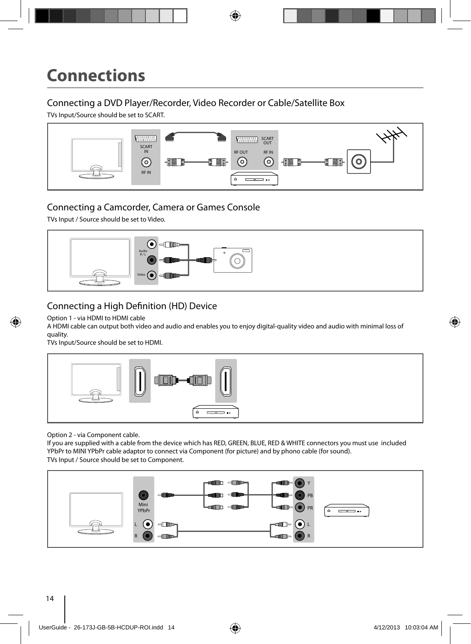#### Connecting a DVD Player/Recorder, Video Recorder or Cable/Satellite Box

TVs Input/Source should be set to SCART.



### Connecting a Camcorder, Camera or Games Console

TVs Input / Source should be set to Video.



### Connecting a High Definition (HD) Device

#### Option 1 - via HDMI to HDMI cable

A HDMI cable can output both video and audio and enables you to enjoy digital-quality video and audio with minimal loss of quality.

TVs Input/Source should be set to HDMI.



Option 2 - via Component cable.

If you are supplied with a cable from the device which has RED, GREEN, BLUE, RED & WHITE connectors you must use included YPbPr to MINI YPbPr cable adaptor to connect via Component (for picture) and by phono cable (for sound). TVs Input / Source should be set to Component.

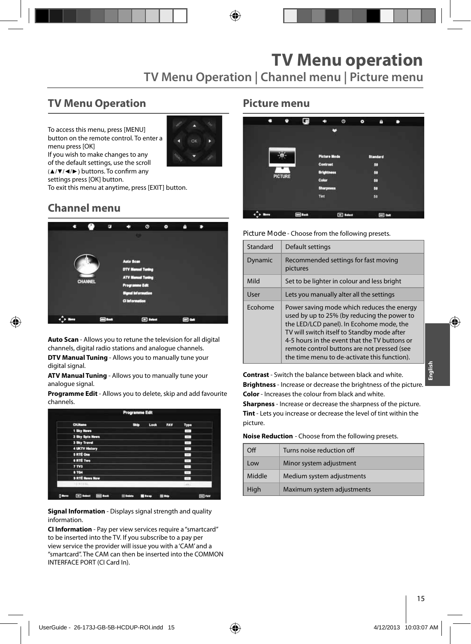### **TV Menu Operation**

To access this menu, press [MENU] button on the remote control. To enter a menu press [OK]



If you wish to make changes to any of the default settings, use the scroll (▲/▼/◀/►) buttons. To confirm any

settings press [OK] button.

To exit this menu at anytime, press [EXIT] button.

### **Channel menu**



**Auto Scan** - Allows you to retune the television for all digital channels, digital radio stations and analogue channels.

**DTV Manual Tuning** - Allows you to manually tune your digital signal.

**ATV Manual Tuning** - Allows you to manually tune your analogue signal.

**Programme Edit** - Allows you to delete, skip and add favourite channels.

| <b>CHAinme</b>  | <b>Skip</b> | Lock | <b>FAV</b> | Type                                                                |  |
|-----------------|-------------|------|------------|---------------------------------------------------------------------|--|
| 1 Sky News      |             |      |            | <b>APR</b>                                                          |  |
| 2 Sky Spts News |             |      |            | $\frac{1}{2} \left( \frac{1}{2} \right) \left( \frac{1}{2} \right)$ |  |
| 3 Sky Travel    |             |      |            | $-$                                                                 |  |
| 4 UKTV History  |             |      |            | $\sim$                                                              |  |
| <b>SRTÉ One</b> |             |      |            | $-1$                                                                |  |
| <b>GRTÉ Two</b> |             |      |            | $\sim$                                                              |  |
| 7 TV3           |             |      |            | $\sim$                                                              |  |
| <b>8 TG4</b>    |             |      |            | $\sim$                                                              |  |
| 9 RTÉ News Now  |             |      |            | $\sim$                                                              |  |
| <b>FORTESS</b>  |             |      |            | Later:                                                              |  |

**Signal Information** - Displays signal strength and quality information.

**CI Information** - Pay per view services require a "smartcard" to be inserted into the TV. If you subscribe to a pay per view service the provider will issue you with a 'CAM' and a "smartcard". The CAM can then be inserted into the COMMON INTERFACE PORT (CI Card In).

#### **Picture menu**

| о | ۰       | G              | m                   | $\circ$          | $\bullet$ | n               | - |
|---|---------|----------------|---------------------|------------------|-----------|-----------------|---|
|   |         |                |                     | ×                |           |                 |   |
|   |         |                | <b>Picture Mode</b> |                  |           | <b>Standard</b> |   |
|   |         |                | Contrast            |                  |           | 50              |   |
|   | PICTURE |                | <b>Brightness</b>   |                  |           | 50              |   |
|   |         |                | Color               |                  |           | 50              |   |
|   |         |                | <b>Sharpness</b>    |                  |           | 50              |   |
|   |         |                | Tint                |                  |           | 50              |   |
|   |         |                |                     |                  |           |                 |   |
|   |         | <b>Ed</b> Back |                     | <b>ED</b> Salest |           | $\Box$ out      |   |

**Picture Mode** - Choose from the following presets.

| Standard | Default settings                                                                                                                                                                                                                                                                                                                     |
|----------|--------------------------------------------------------------------------------------------------------------------------------------------------------------------------------------------------------------------------------------------------------------------------------------------------------------------------------------|
| Dynamic  | Recommended settings for fast moving<br>pictures                                                                                                                                                                                                                                                                                     |
| Mild     | Set to be lighter in colour and less bright                                                                                                                                                                                                                                                                                          |
| User     | Lets you manually alter all the settings                                                                                                                                                                                                                                                                                             |
| Ecohome  | Power saving mode which reduces the energy<br>used by up to 25% (by reducing the power to<br>the LED/LCD panel). In Ecohome mode, the<br>TV will switch itself to Standby mode after<br>4-5 hours in the event that the TV buttons or<br>remote control buttons are not pressed (see<br>the time menu to de-activate this function). |

**Contrast** - Switch the balance between black and white. **Brightness** - Increase or decrease the brightness of the picture. **Color** - Increases the colour from black and white. **Sharpness** - Increase or decrease the sharpness of the picture. **Tint** - Lets you increase or decrease the level of tint within the picture.

**Noise Reduction** - Choose from the following presets.

| Ωff    | Turns noise reduction off  |
|--------|----------------------------|
| Low    | Minor system adjustment    |
| Middle | Medium system adjustments  |
| High   | Maximum system adjustments |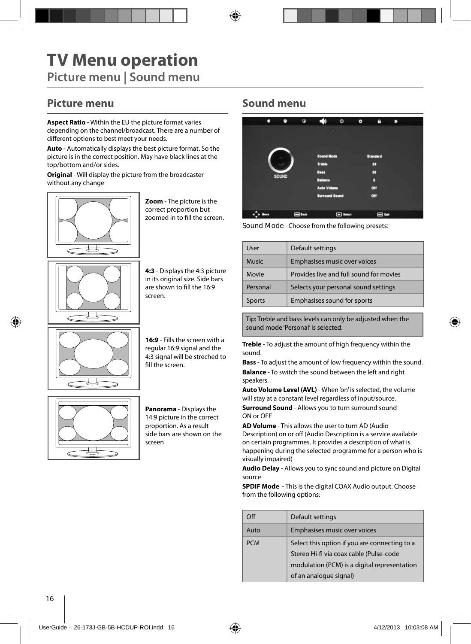### **Picture menu**

**Aspect Ratio** - Within the EU the picture format varies depending on the channel/broadcast. There are a number of different options to best meet your needs.

**Auto** - Automatically displays the best picture format. So the picture is in the correct position. May have black lines at the top/bottom and/or sides.

**Original** - Will display the picture from the broadcaster without any change



**Zoom** - The picture is the correct proportion but zoomed in to fill the screen.

**4:3** - Displays the 4:3 picture in its original size. Side bars are shown to fill the 16:9 screen.



**16:9** - Fills the screen with a regular 16:9 signal and the 4:3 signal will be streched to fill the screen.



**Panorama** - Displays the 14:9 picture in the correct proportion. As a result side bars are shown on the screen

#### **Sound menu**

| a | ۰            | G          | -60                   | $\circ$          | $\bullet$ | m               | - 1 |
|---|--------------|------------|-----------------------|------------------|-----------|-----------------|-----|
|   |              |            |                       | <b>COL</b>       |           |                 |     |
|   |              |            | <b>Sound Mode</b>     |                  |           | <b>Standard</b> |     |
|   |              |            | <b>Treble</b>         |                  |           | 50              |     |
|   |              |            | Bass                  |                  |           | 50              |     |
|   | <b>SOUND</b> |            | <b>Balance</b>        |                  |           | o               |     |
|   |              |            | <b>Auto Volume</b>    |                  |           | ott             |     |
|   |              |            | <b>Surround Sound</b> |                  |           | orr             |     |
|   |              | $\Box$ bat |                       | <b>Ed</b> Salest |           | <b>ED</b> Out   |     |

**Sound Mode** - Choose from the following presets:

| User     | Default settings                        |
|----------|-----------------------------------------|
| Music    | Emphasises music over voices            |
| Movie    | Provides live and full sound for movies |
| Personal | Selects your personal sound settings    |
| Sports   | Emphasises sound for sports             |
|          |                                         |

Tip: Treble and bass levels can only be adjusted when the sound mode 'Personal' is selected.

**Treble** - To adjust the amount of high frequency within the sound.

**Bass** - To adjust the amount of low frequency within the sound. **Balance** - To switch the sound between the left and right speakers.

**Auto Volume Level (AVL)** - When 'on' is selected, the volume will stay at a constant level regardless of input/source.

**Surround Sound** - Allows you to turn surround sound ON or OFF

**AD Volume** - This allows the user to turn AD (Audio Description) on or off (Audio Description is a service available on certain programmes. It provides a description of what is happening during the selected programme for a person who is visually impaired)

**Audio Delay** - Allows you to sync sound and picture on Digital source

**SPDIF Mode** - This is the digital COAX Audio output. Choose from the following options:

| $\Omega$   | Default settings                              |
|------------|-----------------------------------------------|
| Auto       | Emphasises music over voices                  |
| <b>PCM</b> | Select this option if you are connecting to a |
|            | Stereo Hi-fi via coax cable (Pulse-code       |
|            | modulation (PCM) is a digital representation  |
|            | of an analogue signal)                        |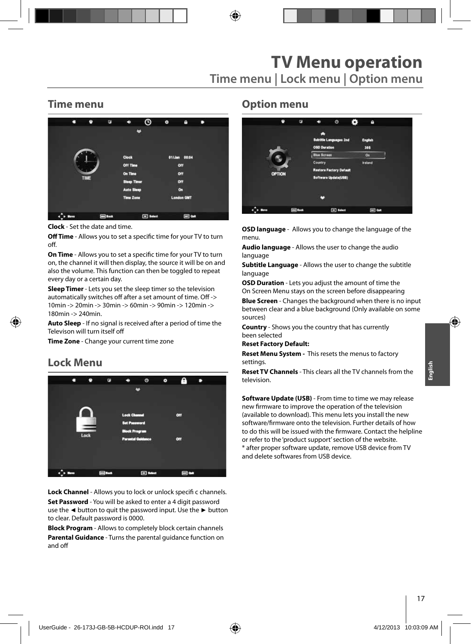#### **Time menu**



**Clock** - Set the date and time.

**Off Time** - Allows you to set a specific time for your TV to turn off.

**On Time** - Allows you to set a specific time for your TV to turn on, the channel it will then display, the source it will be on and also the volume. This function can then be toggled to repeat every day or a certain day.

**Sleep Timer** - Lets you set the sleep timer so the television automatically switches off after a set amount of time. Off -> 10min -> 20min -> 30min -> 60min -> 90min -> 120min -> 180min -> 240min.

**Auto Sleep** - If no signal is received after a period of time the Televison will turn itself off

**Time Zone** - Change your current time zone

### **Lock Menu**



**Lock Channel** - Allows you to lock or unlock specifi c channels. **Set Password** - You will be asked to enter a 4 digit password use the **◄** button to quit the password input. Use the **►** button to clear. Default password is 0000.

**Block Program** - Allows to completely block certain channels **Parental Guidance** - Turns the parental guidance function on and off

#### **Option menu**



**OSD language** - Allows you to change the language of the menu.

**Audio language** - Allows the user to change the audio language

**Subtitle Language** - Allows the user to change the subtitle language

**OSD Duration** - Lets you adjust the amount of time the On Screen Menu stays on the screen before disappearing

**Blue Screen** - Changes the background when there is no input between clear and a blue background (Only available on some sources)

**Country** - Shows you the country that has currently been selected

**Reset Factory Default:**

**Reset Menu System -** This resets the menus to factory settings.

**Reset TV Channels** - This clears all the TV channels from the television.

**Software Update (USB)** - From time to time we may release new firmware to improve the operation of the television (available to download). This menu lets you install the new software/firmware onto the television. Further details of how to do this will be issued with the firmware. Contact the helpline or refer to the 'product support' section of the website. \* after proper software update, remove USB device from TV and delete softwares from USB device.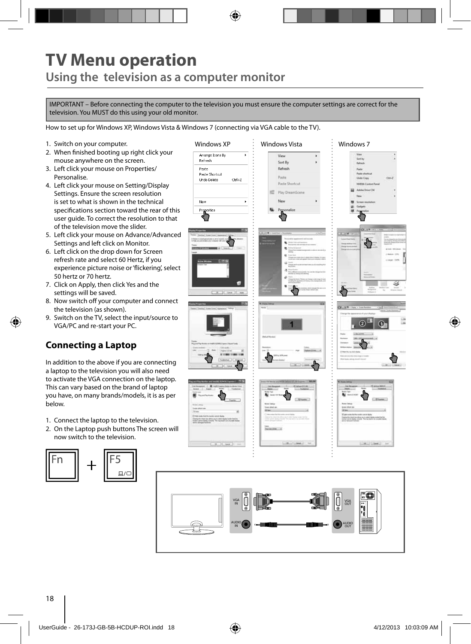## **TV Menu operation Using the television as a computer monitor**

IMPORTANT – Before connecting the computer to the television you must ensure the computer settings are correct for the television. You MUST do this using your old monitor.

How to set up for Windows XP, Windows Vista & Windows 7 (connecting via VGA cable to the TV).

- 1. Switch on your computer.
- 2. When finished booting up right click your mouse anywhere on the screen.
- 3. Left click your mouse on Properties/ Personalise.
- 4. Left click your mouse on Setting/Display Settings. Ensure the screen resolution is set to what is shown in the technical specifications section toward the rear of this user guide. To correct the resolution to that of the television move the slider.
- 5. Left click your mouse on Advance/Advanced Settings and left click on Monitor.
- 6. Left click on the drop down for Screen refresh rate and select 60 Hertz, if you experience picture noise or 'flickering', select 50 hertz or 70 hertz.
- 7. Click on Apply, then click Yes and the settings will be saved.
- 8. Now switch off your computer and connect the television (as shown).
- 9. Switch on the TV, select the input/source to VGA/PC and re-start your PC.

### **Connecting a Laptop**

In addition to the above if you are connecting a laptop to the television you will also need to activate the VGA connection on the laptop. This can vary based on the brand of laptop you have, on many brands/models, it is as per below.

- 1. Connect the laptop to the television.
- 2. On the Laptop push buttons The screen will now switch to the television.



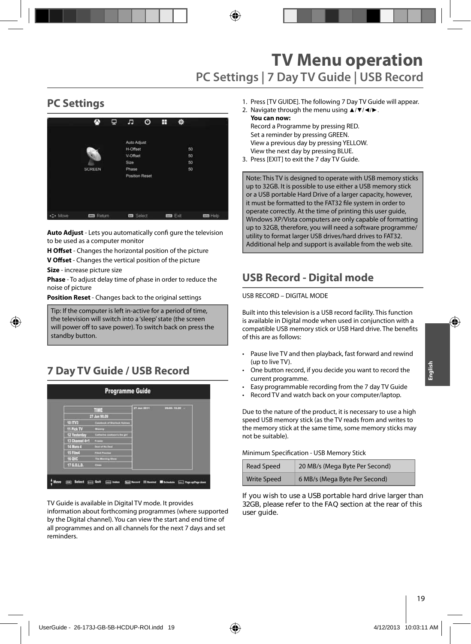# **TV Menu operation PC Settings | 7 Day TV Guide | USB Record**

### **PC Settings**



**Auto Adjust** - Lets you automatically confi gure the television to be used as a computer monitor

**H Offset** - Changes the horizontal position of the picture

**V Offset** - Changes the vertical position of the picture

**Size** - increase picture size

**Phase** - To adjust delay time of phase in order to reduce the noise of picture

**Position Reset** - Changes back to the original settings

Tip: If the computer is left in-active for a period of time, the television will switch into a 'sleep' state (the screen  $\vert$  will power off to save power). To switch back on press the **Postandby button. Position Resetting back to the original settings** 

## **7 Day TV Guide / USB Record**

|                | TIME                                    | 27 Jun 2011 | 99/05 10:08 - |
|----------------|-----------------------------------------|-------------|---------------|
|                | 27 Jun 90.09                            |             |               |
| 10 ITV3        | <b>Construct of Sturlinsk Histories</b> |             |               |
| 11 Pick TV     | <b>MANUTE</b>                           |             |               |
| 12 Yesterday   | Calvains contant's its get              |             |               |
| 13 Channel 4+1 | <b>Frances</b>                          |             |               |
| 14 More 4      | Daniel of No Days                       |             |               |
| 15 Film4       | <b>Flind Preston</b>                    |             |               |
| 16 QVC         | <b>The Morring Share</b>                |             |               |
| 17 G.O.L.D.    | <b>Comme</b>                            |             |               |

TV Guide is available in Digital TV mode. It provides

information about forthcoming programmes (where supported by the Digital channel). You can view the start and end time of all programmes and on all channels for the next 7 days and set reminders.

- 1. Press [TV GUIDE]. The following 7 Day TV Guide will appear.
- 2. Navigate through the menu using ▲/▼/◄/►. **You can now:**

Record a Programme by pressing RED. Set a reminder by pressing GREEN. View a previous day by pressing YELLOW. View the next day by pressing BLUE.

3. Press [EXIT] to exit the 7 day TV Guide.

Note: This TV is designed to operate with USB memory sticks up to 32GB. It is possible to use either a USB memory stick or a USB portable Hard Drive of a larger capacity, however, it must be formatted to the FAT32 file system in order to operate correctly. At the time of printing this user guide, Windows XP/Vista computers are only capable of formatting up to 32GB, therefore, you will need a software programme/ utility to format larger USB drives/hard drives to FAT32. Additional help and support is available from the web site.

### **USB Record - Digital mode**

#### USB RECORD – DIGITAL MODE

Built into this television is a USB record facility. This function is available in Digital mode when used in conjunction with a compatible USB memory stick or USB Hard drive. The benefits of this are as follows:

- Pause live TV and then playback, fast forward and rewind (up to live TV).
- One button record, if you decide you want to record the current programme.
- Easy programmable recording from the 7 day TV Guide
- Record TV and watch back on your computer/laptop.

Due to the nature of the product, it is necessary to use a high speed USB memory stick (as the TV reads from and writes to the memory stick at the same time, some memory sticks may not be suitable).

Minimum Specification - USB Memory Stick

| Read Speed         | 20 MB/s (Mega Byte Per Second) |
|--------------------|--------------------------------|
| <b>Write Speed</b> | 6 MB/s (Mega Byte Per Second)  |

**If you wish to use a USB portable hard drive larger than 32GB, please refer to the FAQ section at the rear of this user guide.**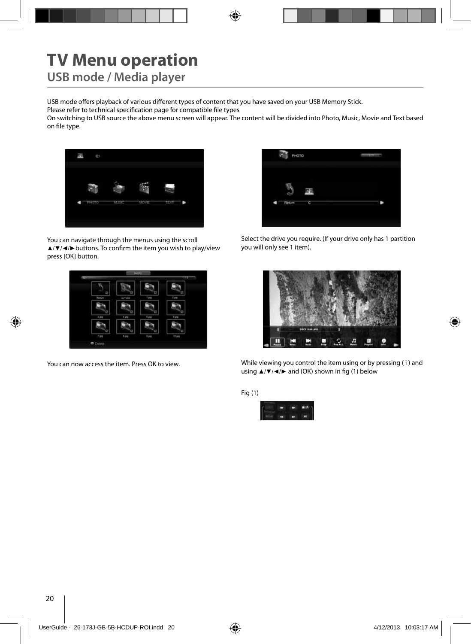# **TV Menu operation**

**USB mode / Media player**

USB mode offers playback of various different types of content that you have saved on your USB Memory Stick.

Please refer to technical specification page for compatible file types

On switching to USB source the above menu screen will appear. The content will be divided into Photo, Music, Movie and Text based on file type.



You can navigate through the menus using the scroll ▲/▼/◀/▶buttons. To confirm the item you wish to play/view press [OK] button.



You can now access the item. Press OK to view.



Select the drive you require. (If your drive only has 1 partition you will only see 1 item).



While viewing you control the item using or by pressing ( i ) and using  $\triangle$ /▼/◀/► and (OK) shown in fig (1) below

Fig (1)

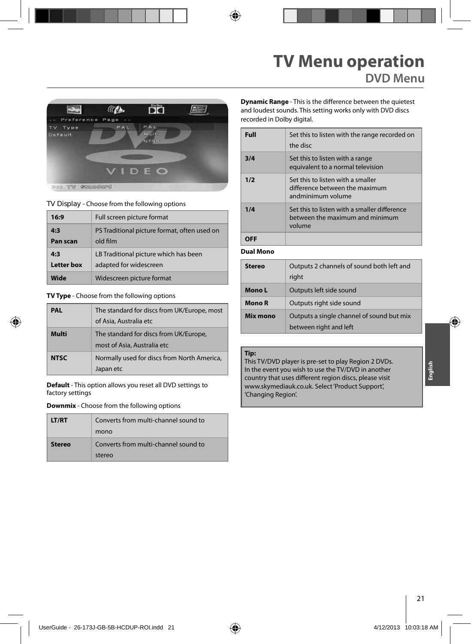## **TV Menu operation DVD Menu**



**TV Display** - Choose from the following options

| 16:9            | Full screen picture format                               |
|-----------------|----------------------------------------------------------|
| 4:3<br>Pan scan | PS Traditional picture format, often used on<br>old film |
|                 |                                                          |
| 4:3             | LB Traditional picture which has been                    |
| Letter box      | adapted for widescreen                                   |
| Wide            | Widescreen picture format                                |

#### **TV Type** - Choose from the following options

| PAL         | The standard for discs from UK/Europe, most                           |
|-------------|-----------------------------------------------------------------------|
|             | of Asia, Australia etc                                                |
| Multi       | The standard for discs from UK/Europe,<br>most of Asia, Australia etc |
| <b>NTSC</b> | Normally used for discs from North America,<br>Japan etc              |

**Default** - This option allows you reset all DVD settings to factory settings

**Downmix** - Choose from the following options

| LT/RT  | Converts from multi-channel sound to<br>mono   |
|--------|------------------------------------------------|
| Stereo | Converts from multi-channel sound to<br>stereo |

**Dynamic Range** - This is the difference between the quietest and loudest sounds. This setting works only with DVD discs recorded in Dolby digital.

| Full | Set this to listen with the range recorded on<br>the disc                                 |
|------|-------------------------------------------------------------------------------------------|
| 3/4  | Set this to listen with a range<br>equivalent to a normal television                      |
| 1/2  | Set this to listen with a smaller<br>difference between the maximum<br>andminimum volume  |
| 1/4  | Set this to listen with a smaller difference<br>between the maximum and minimum<br>volume |
|      |                                                                                           |

#### **Dual Mono**

| Stereo   | Outputs 2 channels of sound both left and<br>right                  |  |
|----------|---------------------------------------------------------------------|--|
| Mono L   | Outputs left side sound                                             |  |
| Mono R   | Outputs right side sound                                            |  |
| Mix mono | Outputs a single channel of sound but mix<br>between right and left |  |

#### **Tip:**

This TV/DVD player is pre-set to play Region 2 DVDs. In the event you wish to use the TV/DVD in another country that uses different region discs, please visit www.skymediauk.co.uk. Select 'Product Support', 'Changing Region'.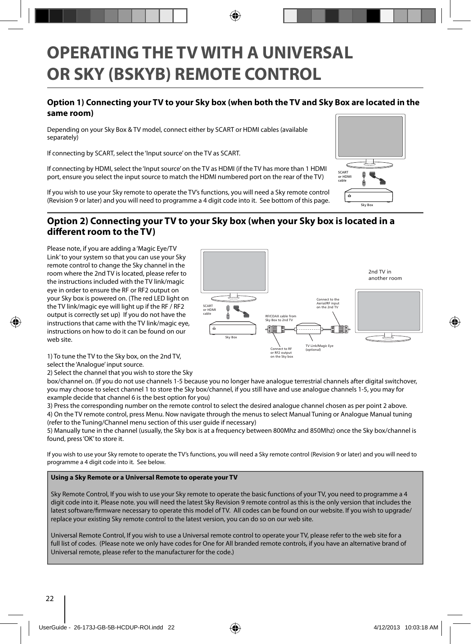# **OPERATING THE TV WITH A UNIVERSAL OR SKY (BSKYB) REMOTE CONTROL**

#### **Option 1) Connecting your TV to your Sky box (when both the TV and Sky Box are located in the same room)**

Depending on your Sky Box & TV model, connect either by SCART or HDMI cables (available separately)

If connecting by SCART, select the 'Input source' on the TV as SCART.

If connecting by HDMI, select the 'Input source' on the TV as HDMI (if the TV has more than 1 HDMI port, ensure you select the input source to match the HDMI numbered port on the rear of the TV)

If you wish to use your Sky remote to operate the TV's functions, you will need a Sky remote control (Revision 9 or later) and you will need to programme a 4 digit code into it. See bottom of this page.

#### **Option 2) Connecting your TV to your Sky box (when your Sky box is located in a diff erent room to the TV)**

Please note, if you are adding a 'Magic Eye/TV Link' to your system so that you can use your Sky remote control to change the Sky channel in the room where the 2nd TV is located, please refer to the instructions included with the TV link/magic eye in order to ensure the RF or RF2 output on your Sky box is powered on. (The red LED light on the TV link/magic eye will light up if the RF / RF2 output is correctly set up) If you do not have the instructions that came with the TV link/magic eye, instructions on how to do it can be found on our web site.



1) To tune the TV to the Sky box, on the 2nd TV, select the 'Analogue' input source.

2) Select the channel that you wish to store the Sky

box/channel on. (If you do not use channels 1-5 because you no longer have analogue terrestrial channels after digital switchover, you may choose to select channel 1 to store the Sky box/channel, if you still have and use analogue channels 1-5, you may for example decide that channel 6 is the best option for you)

3) Press the corresponding number on the remote control to select the desired analogue channel chosen as per point 2 above. 4) On the TV remote control, press Menu. Now navigate through the menus to select Manual Tuning or Analogue Manual tuning (refer to the Tuning/Channel menu section of this user guide if necessary)

5) Manually tune in the channel (usually, the Sky box is at a frequency between 800Mhz and 850Mhz) once the Sky box/channel is found, press 'OK' to store it.

If you wish to use your Sky remote to operate the TV's functions, you will need a Sky remote control (Revision 9 or later) and you will need to programme a 4 digit code into it. See below.

#### **Using a Sky Remote or a Universal Remote to operate your TV**

Sky Remote Control, If you wish to use your Sky remote to operate the basic functions of your TV, you need to programme a 4 digit code into it. Please note. you will need the latest Sky Revision 9 remote control as this is the only version that includes the latest software/firmware necessary to operate this model of TV. All codes can be found on our website. If you wish to upgrade/ replace your existing Sky remote control to the latest version, you can do so on our web site.

Universal Remote Control, If you wish to use a Universal remote control to operate your TV, please refer to the web site for a full list of codes. (Please note we only have codes for One for All branded remote controls, if you have an alternative brand of Universal remote, please refer to the manufacturer for the code.)

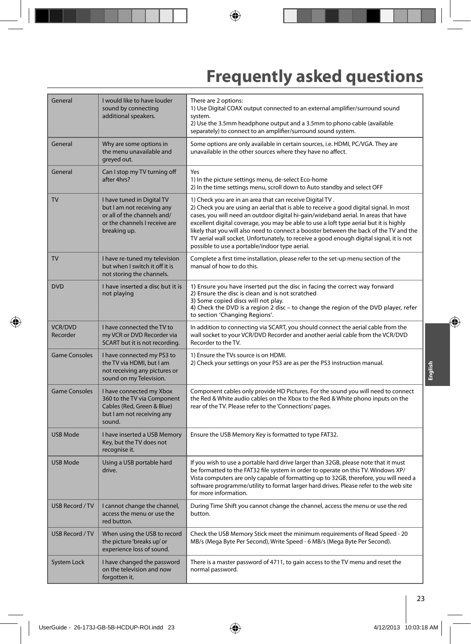# **Frequently asked questions**

| General                    | I would like to have louder<br>sound by connecting<br>additional speakers.                                                               | There are 2 options:<br>1) Use Digital COAX output connected to an external amplifier/surround sound<br>system.<br>2) Use the 3.5mm headphone output and a 3.5mm to phono cable (available<br>separately) to connect to an amplifier/surround sound system.                                                                                                                                                                                                                                                                                                                  |
|----------------------------|------------------------------------------------------------------------------------------------------------------------------------------|------------------------------------------------------------------------------------------------------------------------------------------------------------------------------------------------------------------------------------------------------------------------------------------------------------------------------------------------------------------------------------------------------------------------------------------------------------------------------------------------------------------------------------------------------------------------------|
| General                    | Why are some options in<br>the menu unavailable and<br>greyed out.                                                                       | Some options are only available in certain sources, i.e. HDMI, PC/VGA. They are<br>unavailable in the other sources where they have no affect.                                                                                                                                                                                                                                                                                                                                                                                                                               |
| General                    | Can I stop my TV turning off<br>after 4hrs?                                                                                              | Yes<br>1) In the picture settings menu, de-select Eco-home<br>2) In the time settings menu, scroll down to Auto standby and select OFF                                                                                                                                                                                                                                                                                                                                                                                                                                       |
| <b>TV</b>                  | I have tuned in Digital TV<br>but I am not receiving any<br>or all of the channels and/<br>or the channels I receive are<br>breaking up. | 1) Check you are in an area that can receive Digital TV.<br>2) Check you are using an aerial that is able to receive a good digital signal. In most<br>cases, you will need an outdoor digital hi-gain/wideband aerial. In areas that have<br>excellent digital coverage, you may be able to use a loft type aerial but it is highly<br>likely that you will also need to connect a booster between the back of the TV and the<br>TV aerial wall socket. Unfortunately, to receive a good enough digital signal, it is not<br>possible to use a portable/indoor type aerial. |
| <b>TV</b>                  | I have re-tuned my television<br>but when I switch it off it is<br>not storing the channels.                                             | Complete a first time installation, please refer to the set-up menu section of the<br>manual of how to do this.                                                                                                                                                                                                                                                                                                                                                                                                                                                              |
| <b>DVD</b>                 | I have inserted a disc but it is<br>not playing                                                                                          | 1) Ensure you have inserted put the disc in facing the correct way forward<br>2) Ensure the disc is clean and is not scratched<br>3) Some copied discs will not play.<br>4) Check the DVD is a region 2 disc - to change the region of the DVD player, refer<br>to section 'Changing Regions'.                                                                                                                                                                                                                                                                               |
| <b>VCR/DVD</b><br>Recorder | I have connected the TV to<br>my VCR or DVD Recorder via<br>SCART but it is not recording.                                               | In addition to connecting via SCART, you should connect the aerial cable from the<br>wall socket to your VCR/DVD Recorder and another aerial cable from the VCR/DVD<br>Recorder to the TV.                                                                                                                                                                                                                                                                                                                                                                                   |
| <b>Game Consoles</b>       | I have connected my PS3 to<br>the TV via HDMI, but I am<br>not receiving any pictures or<br>sound on my Television.                      | 1) Ensure the TVs source is on HDMI.<br>2) Check your settings on your PS3 are as per the PS3 instruction manual.                                                                                                                                                                                                                                                                                                                                                                                                                                                            |
| <b>Game Consoles</b>       | I have connected my Xbox<br>360 to the TV via Component<br>Cables (Red, Green & Blue)<br>but I am not receiving any<br>sound.            | Component cables only provide HD Pictures. For the sound you will need to connect<br>the Red & White audio cables on the Xbox to the Red & White phono inputs on the<br>rear of the TV. Please refer to the 'Connections' pages.                                                                                                                                                                                                                                                                                                                                             |
| <b>USB Mode</b>            | I have inserted a USB Memory<br>Key, but the TV does not<br>recognise it.                                                                | Ensure the USB Memory Key is formatted to type FAT32.                                                                                                                                                                                                                                                                                                                                                                                                                                                                                                                        |
| <b>USB Mode</b>            | Using a USB portable hard<br>drive.                                                                                                      | If you wish to use a portable hard drive larger than 32GB, please note that it must<br>be formatted to the FAT32 file system in order to operate on this TV. Windows XP/<br>Vista computers are only capable of formatting up to 32GB, therefore, you will need a<br>software programme/utility to format larger hard drives. Please refer to the web site<br>for more information.                                                                                                                                                                                          |
| <b>USB Record / TV</b>     | I cannot change the channel,<br>access the menu or use the<br>red button.                                                                | During Time Shift you cannot change the channel, access the menu or use the red<br>button.                                                                                                                                                                                                                                                                                                                                                                                                                                                                                   |
| <b>USB Record / TV</b>     | When using the USB to record<br>the picture 'breaks up' or<br>experience loss of sound.                                                  | Check the USB Memory Stick meet the minimum requirements of Read Speed - 20<br>MB/s (Mega Byte Per Second), Write Speed - 6 MB/s (Mega Byte Per Second).                                                                                                                                                                                                                                                                                                                                                                                                                     |
| <b>System Lock</b>         | I have changed the password<br>on the television and now<br>forgotten it.                                                                | There is a master password of 4711, to gain access to the TV menu and reset the<br>normal password.                                                                                                                                                                                                                                                                                                                                                                                                                                                                          |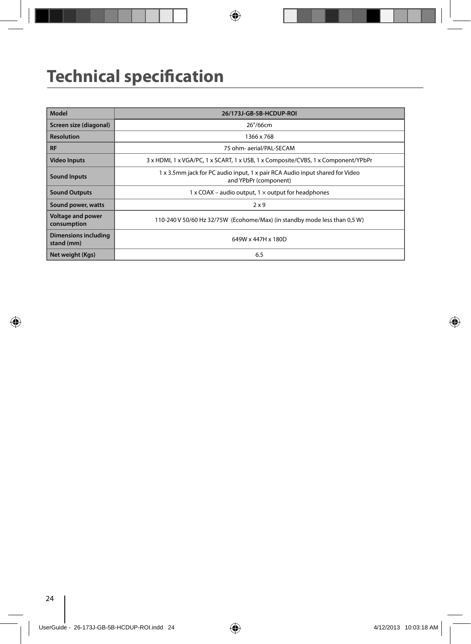# **Technical specification**

| <b>Model</b>                            | 26/173J-GB-5B-HCDUP-ROI                                                                               |
|-----------------------------------------|-------------------------------------------------------------------------------------------------------|
| Screen size (diagonal)                  | 26"/66cm                                                                                              |
| <b>Resolution</b>                       | 1366 x 768                                                                                            |
| <b>RF</b>                               | 75 ohm- aerial/PAL-SECAM                                                                              |
| <b>Video Inputs</b>                     | 3 x HDMI, 1 x VGA/PC, 1 x SCART, 1 x USB, 1 x Composite/CVBS, 1 x Component/YPbPr                     |
| <b>Sound Inputs</b>                     | 1 x 3.5mm jack for PC audio input, 1 x pair RCA Audio input shared for Video<br>and YPbPr (component) |
| <b>Sound Outputs</b>                    | 1 x COAX – audio output, $1 \times$ output for headphones                                             |
| Sound power, watts                      | 2x9                                                                                                   |
| <b>Voltage and power</b><br>consumption | 110-240 V 50/60 Hz 32/75W (Ecohome/Max) (in standby mode less than 0,5 W)                             |
| Dimensions including<br>stand (mm)      | 649W x 447H x 180D                                                                                    |
| Net weight (Kgs)                        | 6.5                                                                                                   |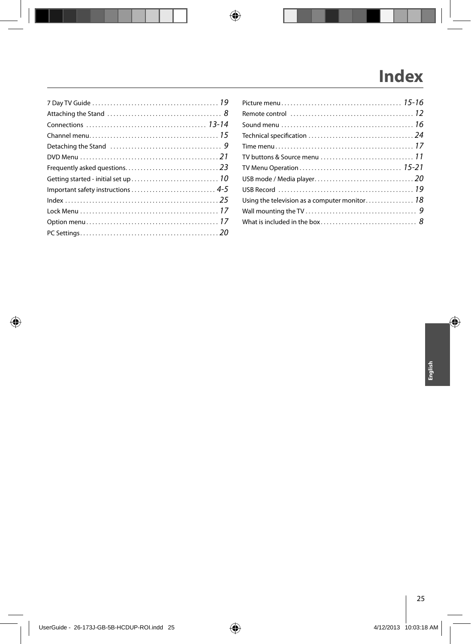# **Index**

| TV buttons & Source menu $\ldots \ldots \ldots \ldots \ldots \ldots \ldots \ldots \ldots 11$ |  |
|----------------------------------------------------------------------------------------------|--|
|                                                                                              |  |
|                                                                                              |  |
|                                                                                              |  |
|                                                                                              |  |
|                                                                                              |  |
|                                                                                              |  |
|                                                                                              |  |